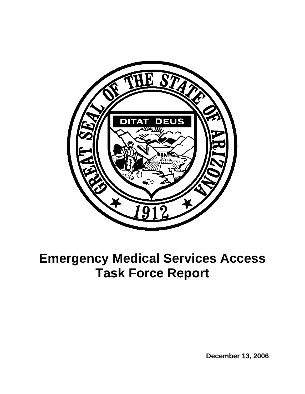

# **Emergency Medical Services Access Task Force Report**

 **December 13, 2006**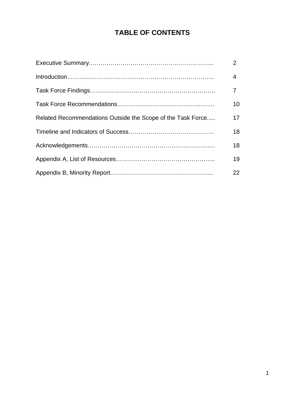## **TABLE OF CONTENTS**

|                                                             | $\overline{2}$  |
|-------------------------------------------------------------|-----------------|
|                                                             | $\overline{4}$  |
|                                                             | 7 <sup>7</sup>  |
|                                                             | 10 <sup>°</sup> |
| Related Recommendations Outside the Scope of the Task Force | 17              |
|                                                             | 18              |
|                                                             | 18              |
|                                                             | 19              |
|                                                             | 22              |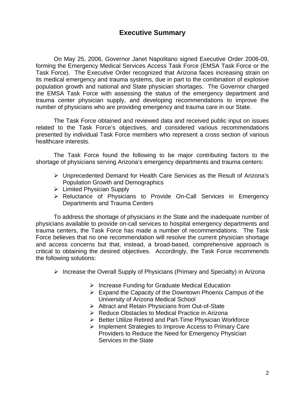## **Executive Summary**

 On May 25, 2006, Governor Janet Napolitano signed Executive Order 2006-09, forming the Emergency Medical Services Access Task Force (EMSA Task Force or the Task Force). The Executive Order recognized that Arizona faces increasing strain on its medical emergency and trauma systems, due in part to the combination of explosive population growth and national and State physician shortages. The Governor charged the EMSA Task Force with assessing the status of the emergency department and trauma center physician supply, and developing recommendations to improve the number of physicians who are providing emergency and trauma care in our State.

 The Task Force obtained and reviewed data and received public input on issues related to the Task Force's objectives, and considered various recommendations presented by individual Task Force members who represent a cross section of various healthcare interests.

 The Task Force found the following to be major contributing factors to the shortage of physicians serving Arizona's emergency departments and trauma centers:

- ¾ Unprecedented Demand for Health Care Services as the Result of Arizona's Population Growth and Demographics
- $\triangleright$  Limited Physician Supply
- ¾ Reluctance of Physicians to Provide On-Call Services in Emergency Departments and Trauma Centers

 To address the shortage of physicians in the State and the inadequate number of physicians available to provide on-call services to hospital emergency departments and trauma centers, the Task Force has made a number of recommendations. The Task Force believes that no one recommendation will resolve the current physician shortage and access concerns but that, instead, a broad-based, comprehensive approach is critical to obtaining the desired objectives. Accordingly, the Task Force recommends the following solutions:

- $\triangleright$  Increase the Overall Supply of Physicians (Primary and Specialty) in Arizona
	- $\triangleright$  Increase Funding for Graduate Medical Education
	- $\triangleright$  Expand the Capacity of the Downtown Phoenix Campus of the University of Arizona Medical School
	- ¾ Attract and Retain Physicians from Out-of-State
	- ¾ Reduce Obstacles to Medical Practice in Arizona
	- ¾ Better Utilize Retired and Part-Time Physician Workforce
	- ¾ Implement Strategies to Improve Access to Primary Care Providers to Reduce the Need for Emergency Physician Services in the State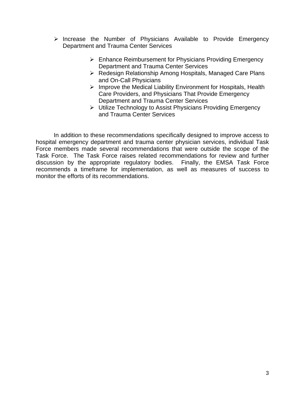- ¾ Increase the Number of Physicians Available to Provide Emergency Department and Trauma Center Services
	- $\triangleright$  Enhance Reimbursement for Physicians Providing Emergency Department and Trauma Center Services
	- ¾ Redesign Relationship Among Hospitals, Managed Care Plans and On-Call Physicians
	- $\triangleright$  Improve the Medical Liability Environment for Hospitals, Health Care Providers, and Physicians That Provide Emergency Department and Trauma Center Services
	- ¾ Utilize Technology to Assist Physicians Providing Emergency and Trauma Center Services

 In addition to these recommendations specifically designed to improve access to hospital emergency department and trauma center physician services, individual Task Force members made several recommendations that were outside the scope of the Task Force. The Task Force raises related recommendations for review and further discussion by the appropriate regulatory bodies. Finally, the EMSA Task Force recommends a timeframe for implementation, as well as measures of success to monitor the efforts of its recommendations.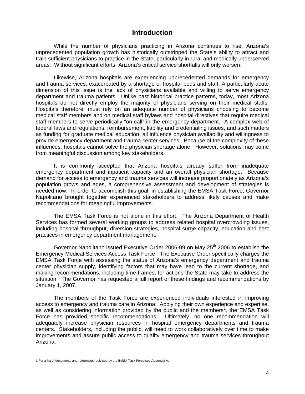## **Introduction**

 While the number of physicians practicing in Arizona continues to rise, Arizona's unprecedented population growth has historically outstripped the State's ability to attract and train sufficient physicians to practice in the State, particularly in rural and medically underserved areas. Without significant efforts, Arizona's critical service shortfalls will only worsen.

 Likewise, Arizona hospitals are experiencing unprecedented demands for emergency and trauma services, exacerbated by a shortage of hospital beds and staff. A particularly acute dimension of this issue is the lack of physicians available and willing to serve emergency department and trauma patients. Unlike past historical practice patterns, today, most Arizona hospitals do not directly employ the majority of physicians serving on their medical staffs. Hospitals therefore, must rely on an adequate number of physicians choosing to become medical staff members and on medical staff bylaws and hospital directives that require medical staff members to serve periodically "on call" in the emergency department. A complex web of federal laws and regulations, reimbursement, liability and credentialing issues, and such matters as funding for graduate medical education, all influence physician availability and willingness to provide emergency department and trauma center services. Because of the complexity of these influences, hospitals cannot solve the physician shortage alone. However, solutions may come from meaningful discussion among key stakeholders.

 It is commonly accepted that Arizona hospitals already suffer from inadequate emergency department and inpatient capacity and an overall physician shortage. Because demand for access to emergency and trauma services will increase proportionately as Arizona's population grows and ages, a comprehensive assessment and development of strategies is needed now. In order to accomplish this goal, in establishing the EMSA Task Force, Governor Napolitano brought together experienced stakeholders to address likely causes and make recommendations for meaningful improvements.

 The EMSA Task Force is not alone in this effort. The Arizona Department of Health Services has formed several working groups to address related hospital overcrowding issues, including hospital throughput, diversion strategies, hospital surge capacity, education and best practices in emergency department management.

Governor Napolitano issued Executive Order 2006-09 on May 25<sup>th</sup> 2006 to establish the Emergency Medical Services Access Task Force. The Executive Order specifically charges the EMSA Task Force with assessing the status of Arizona's emergency department and trauma center physician supply, identifying factors that may have lead to the current shortage, and making recommendations, including time frames, for actions the State may take to address the situation. The Governor has requested a full report of these findings and recommendations by January 1, 2007.

 The members of the Task Force are experienced individuals interested in improving access to emergency and trauma care in Arizona. Applying their own experience and expertise, as well as considering information provided by the public and the members<sup>[1](#page-4-0)</sup>, the EMSA Task Force has provided specific recommendations. Ultimately, no one recommendation will adequately increase physician resources in hospital emergency departments and trauma centers. Stakeholders, including the public, will need to work collaboratively over time to make improvements and assure public access to quality emergency and trauma services throughout Arizona.

<span id="page-4-0"></span> 1 For a list of documents and references reviewed by the EMSA Task Force see Appendix A.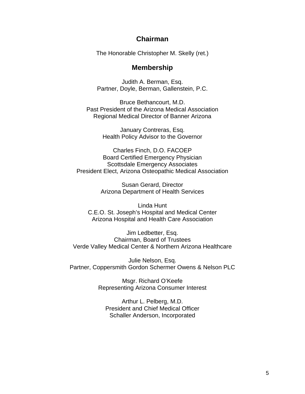## **Chairman**

The Honorable Christopher M. Skelly (ret.)

## **Membership**

Judith A. Berman, Esq. Partner, Doyle, Berman, Gallenstein, P.C.

Bruce Bethancourt, M.D. Past President of the Arizona Medical Association Regional Medical Director of Banner Arizona

> January Contreras, Esq. Health Policy Advisor to the Governor

Charles Finch, D.O. FACOEP Board Certified Emergency Physician Scottsdale Emergency Associates President Elect, Arizona Osteopathic Medical Association

> Susan Gerard, Director Arizona Department of Health Services

Linda Hunt C.E.O. St. Joseph's Hospital and Medical Center Arizona Hospital and Health Care Association

Jim Ledbetter, Esq. Chairman, Board of Trustees Verde Valley Medical Center & Northern Arizona Healthcare

Julie Nelson, Esq. Partner, Coppersmith Gordon Schermer Owens & Nelson PLC

> Msgr. Richard O'Keefe Representing Arizona Consumer Interest

Arthur L. Pelberg, M.D. President and Chief Medical Officer Schaller Anderson, Incorporated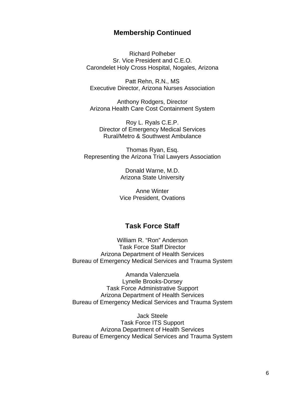## **Membership Continued**

Richard Polheber Sr. Vice President and C.E.O. Carondelet Holy Cross Hospital, Nogales, Arizona

Patt Rehn, R.N., MS Executive Director, Arizona Nurses Association

Anthony Rodgers, Director Arizona Health Care Cost Containment System

Roy L. Ryals C.E.P. Director of Emergency Medical Services Rural/Metro & Southwest Ambulance

Thomas Ryan, Esq. Representing the Arizona Trial Lawyers Association

> Donald Warne, M.D. Arizona State University

Anne Winter Vice President, Ovations

## **Task Force Staff**

William R. "Ron" Anderson Task Force Staff Director Arizona Department of Health Services Bureau of Emergency Medical Services and Trauma System

Amanda Valenzuela Lynelle Brooks-Dorsey Task Force Administrative Support Arizona Department of Health Services Bureau of Emergency Medical Services and Trauma System

Jack Steele Task Force ITS Support Arizona Department of Health Services Bureau of Emergency Medical Services and Trauma System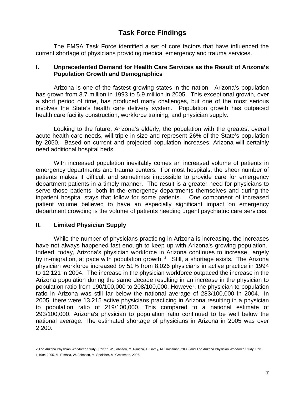## **Task Force Findings**

 The EMSA Task Force identified a set of core factors that have influenced the current shortage of physicians providing medical emergency and trauma services.

## **I. Unprecedented Demand for Health Care Services as the Result of Arizona's Population Growth and Demographics**

 Arizona is one of the fastest growing states in the nation. Arizona's population has grown from 3.7 million in 1993 to 5.9 million in 2005. This exceptional growth, over a short period of time, has produced many challenges, but one of the most serious involves the State's health care delivery system. Population growth has outpaced health care facility construction, workforce training, and physician supply.

 Looking to the future, Arizona's elderly, the population with the greatest overall acute health care needs, will triple in size and represent 26% of the State's population by 2050. Based on current and projected population increases, Arizona will certainly need additional hospital beds.

 With increased population inevitably comes an increased volume of patients in emergency departments and trauma centers. For most hospitals, the sheer number of patients makes it difficult and sometimes impossible to provide care for emergency department patients in a timely manner. The result is a greater need for physicians to serve those patients, both in the emergency departments themselves and during the inpatient hospital stays that follow for some patients. One component of increased patient volume believed to have an especially significant impact on emergency department crowding is the volume of patients needing urgent psychiatric care services.

## **II. Limited Physician Supply**

While the number of physicians practicing in Arizona is increasing, the increases have not always happened fast enough to keep up with Arizona's growing population. Indeed, today, Arizona's physician workforce in Arizona continues to increase, largely by in-migration, at pace with population growth.  $2$  Still, a shortage exists. The Arizona physician workforce increased by 51% from 8,026 physicians in active practice in 1994 to 12,121 in 2004. The increase in the physician workforce outpaced the increase in the Arizona population during the same decade resulting in an increase in the physician to population ratio from 190/100,000 to 208/100,000. However, the physician to population ratio in Arizona was still far below the national average of 283/100,000 in 2004. In 2005, there were 13,215 active physicians practicing in Arizona resulting in a physician to population ratio of 219/100,000. This compared to a national estimate of 293/100,000. Arizona's physician to population ratio continued to be well below the national average. The estimated shortage of physicians in Arizona in 2005 was over 2,200.

<span id="page-7-0"></span> 2 The Arizona Physician Workforce Study - Part 1: W. Johnson, M. Rimsza, T. Garey, M. Grossman, 2005, and The Arizona Physician Workforce Study: Part II,1994-2005. M. Rimsza, W. Johnson, M. Speicher, M. Grossman, 2006.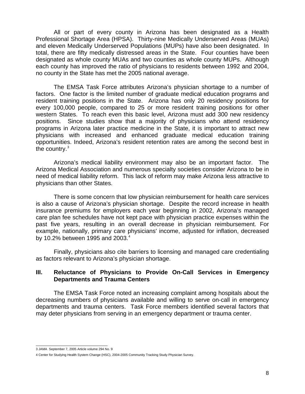All or part of every county in Arizona has been designated as a Health Professional Shortage Area (HPSA). Thirty-nine Medically Underserved Areas (MUAs) and eleven Medically Underserved Populations (MUPs) have also been designated. In total, there are fifty medically distressed areas in the State. Four counties have been designated as whole county MUAs and two counties as whole county MUPs. Although each county has improved the ratio of physicians to residents between 1992 and 2004, no county in the State has met the 2005 national average.

The EMSA Task Force attributes Arizona's physician shortage to a number of factors. One factor is the limited number of graduate medical education programs and resident training positions in the State. Arizona has only 20 residency positions for every 100,000 people, compared to 25 or more resident training positions for other western States. To reach even this basic level, Arizona must add 300 new residency positions. Since studies show that a majority of physicians who attend residency programs in Arizona later practice medicine in the State, it is important to attract new physicians with increased and enhanced graduate medical education training opportunities. Indeed, Arizona's resident retention rates are among the second best in the country. $3$ 

Arizona's medical liability environment may also be an important factor. The Arizona Medical Association and numerous specialty societies consider Arizona to be in need of medical liability reform. This lack of reform may make Arizona less attractive to physicians than other States.

 There is some concern that low physician reimbursement for health care services is also a cause of Arizona's physician shortage. Despite the record increase in health insurance premiums for employers each year beginning in 2002, Arizona's managed care plan fee schedules have not kept pace with physician practice expenses within the past five years, resulting in an overall decrease in physician reimbursement. For example, nationally, primary care physicians' income, adjusted for inflation, decreased by 10.2% between 1995 and 2003.<sup>[4](#page-8-1)</sup>

Finally, physicians also cite barriers to licensing and managed care credentialing as factors relevant to Arizona's physician shortage.

### **III. Reluctance of Physicians to Provide On-Call Services in Emergency Departments and Trauma Centers**

 The EMSA Task Force noted an increasing complaint among hospitals about the decreasing numbers of physicians available and willing to serve on-call in emergency departments and trauma centers. Task Force members identified several factors that may deter physicians from serving in an emergency department or trauma center.

 3 JAMA September 7, 2005 Article volume 294 No. 9

<span id="page-8-1"></span><span id="page-8-0"></span><sup>4</sup> Center for Studying Health System Change (HSC), 2004-2005 Community Tracking Study Physician Survey.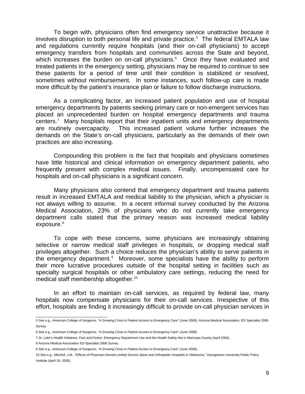To begin with, physicians often find emergency service unattractive because it involves disruption to both personal life and private practice.<sup>[5](#page-9-0)</sup> The federal EMTALA law and regulations currently require hospitals (and their on-call physicians) to accept emergency transfers from hospitals and communities across the State and beyond, which increases the burden on on-call physicians.<sup>[6](#page-9-1)</sup> Once they have evaluated and treated patients in the emergency setting, physicians may be required to continue to see these patients for a period of time until their condition is stabilized or resolved, sometimes without reimbursement. In some instances, such follow-up care is made more difficult by the patient's insurance plan or failure to follow discharge instructions.

 As a complicating factor, an increased patient population and use of hospital emergency departments by patients seeking primary care or non-emergent services has placed an unprecedented burden on hospital emergency departments and trauma centers.<sup>[7](#page-9-2)</sup> Many hospitals report that their inpatient units and emergency departments are routinely overcapacity. This increased patient volume further increases the demands on the State's on-call physicians, particularly as the demands of their own practices are also increasing.

Compounding this problem is the fact that hospitals and physicians sometimes have little historical and clinical information on emergency department patients, who frequently present with complex medical issues. Finally, uncompensated care for hospitals and on-call physicians is a significant concern.

Many physicians also contend that emergency department and trauma patients result in increased EMTALA and medical liability to the physician, which a physician is not always willing to assume. In a recent informal survey conducted by the Arizona Medical Association, 23% of physicians who do not currently take emergency department calls stated that the primary reason was increased medical liability exposure.<sup>[8](#page-9-3)</sup>

 To cope with these concerns, some physicians are increasingly obtaining selective or narrow medical staff privileges in hospitals, or dropping medical staff privileges altogether. Such a choice reduces the physician's ability to serve patients in the emergency department.<sup>[9](#page-9-4)</sup> Moreover, some specialists have the ability to perform their more lucrative procedures outside of the hospital setting in facilities such as specialty surgical hospitals or other ambulatory care settings, reducing the need for medical staff membership altogether.<sup>[10](#page-9-5)</sup>

 In an effort to maintain on-call services, as required by federal law, many hospitals now compensate physicians for their on-call services. Irrespective of this effort, hospitals are finding it increasingly difficult to provide on-call physician services in

<span id="page-9-0"></span> 5 See e.g., American College of Surgeons, "A Growing Crisis in Patient Access to Emergency Care" (June 2006); Arizona Medical Association, ED Specialist 2006 Survey.

<span id="page-9-1"></span><sup>6</sup> See e.g., American College of Surgeons, "A Growing Crisis in Patient Access to Emergency Care" (June 2006).

<span id="page-9-2"></span><sup>7</sup> St. Luke's Health Initiatives, Fact and Fiction: Emergency Department Use and the Health Safety Net in Maricopa County (April 2004).

<span id="page-9-3"></span><sup>8</sup> Arizona Medical Association ED Specialist 2006 Survey.

<span id="page-9-4"></span><sup>9</sup> See e.g., American College of Surgeons, "A Growing Crisis in Patient Access to Emergency Care" (June 2006).

<span id="page-9-5"></span><sup>10</sup> See e.g., Mitchell, J.M., "Effects of Physician-Owned Limited Service Spine and Orthopedic Hospitals in Oklahoma," Georgetown University Public Policy Institute (April 26, 2005).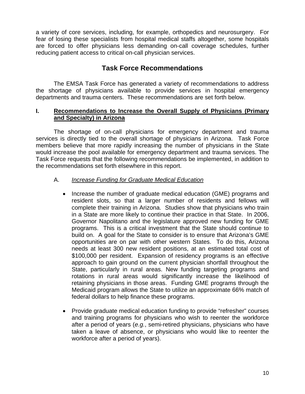a variety of core services, including, for example, orthopedics and neurosurgery. For fear of losing these specialists from hospital medical staffs altogether, some hospitals are forced to offer physicians less demanding on-call coverage schedules, further reducing patient access to critical on-call physician services.

## **Task Force Recommendations**

 The EMSA Task Force has generated a variety of recommendations to address the shortage of physicians available to provide services in hospital emergency departments and trauma centers. These recommendations are set forth below.

## **I. Recommendations to Increase the Overall Supply of Physicians (Primary and Specialty) in Arizona**

 The shortage of on-call physicians for emergency department and trauma services is directly tied to the overall shortage of physicians in Arizona. Task Force members believe that more rapidly increasing the number of physicians in the State would increase the pool available for emergency department and trauma services. The Task Force requests that the following recommendations be implemented, in addition to the recommendations set forth elsewhere in this report.

## A. *Increase Funding for Graduate Medical Education*

- Increase the number of graduate medical education (GME) programs and resident slots, so that a larger number of residents and fellows will complete their training in Arizona. Studies show that physicians who train in a State are more likely to continue their practice in that State. In 2006, Governor Napolitano and the legislature approved new funding for GME programs. This is a critical investment that the State should continue to build on. A goal for the State to consider is to ensure that Arizona's GME opportunities are on par with other western States. To do this, Arizona needs at least 300 new resident positions, at an estimated total cost of \$100,000 per resident. Expansion of residency programs is an effective approach to gain ground on the current physician shortfall throughout the State, particularly in rural areas. New funding targeting programs and rotations in rural areas would significantly increase the likelihood of retaining physicians in those areas. Funding GME programs through the Medicaid program allows the State to utilize an approximate 66% match of federal dollars to help finance these programs.
- Provide graduate medical education funding to provide "refresher" courses and training programs for physicians who wish to reenter the workforce after a period of years (*e.g.*, semi-retired physicians, physicians who have taken a leave of absence, or physicians who would like to reenter the workforce after a period of years).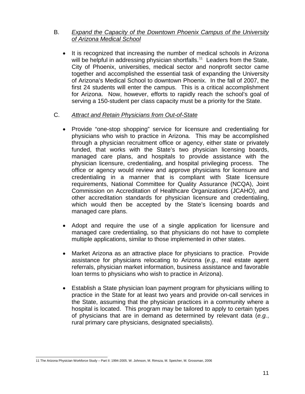## B. *Expand the Capacity of the Downtown Phoenix Campus of the University of Arizona Medical School*

• It is recognized that increasing the number of medical schools in Arizona will be helpful in addressing physician shortfalls.<sup>[11](#page-11-0)</sup> Leaders from the State, City of Phoenix, universities, medical sector and nonprofit sector came together and accomplished the essential task of expanding the University of Arizona's Medical School to downtown Phoenix. In the fall of 2007, the first 24 students will enter the campus. This is a critical accomplishment for Arizona. Now, however, efforts to rapidly reach the school's goal of serving a 150-student per class capacity must be a priority for the State.

## C. *Attract and Retain Physicians from Out-of-State*

- Provide "one-stop shopping" service for licensure and credentialing for physicians who wish to practice in Arizona. This may be accomplished through a physician recruitment office or agency, either state or privately funded, that works with the State's two physician licensing boards, managed care plans, and hospitals to provide assistance with the physician licensure, credentialing, and hospital privileging process. The office or agency would review and approve physicians for licensure and credentialing in a manner that is compliant with State licensure requirements, National Committee for Quality Assurance (NCQA), Joint Commission on Accreditation of Healthcare Organizations (JCAHO), and other accreditation standards for physician licensure and credentialing, which would then be accepted by the State's licensing boards and managed care plans.
- Adopt and require the use of a single application for licensure and managed care credentialing, so that physicians do not have to complete multiple applications, similar to those implemented in other states.
- Market Arizona as an attractive place for physicians to practice. Provide assistance for physicians relocating to Arizona (*e.g.,* real estate agent referrals, physician market information, business assistance and favorable loan terms to physicians who wish to practice in Arizona).
- Establish a State physician loan payment program for physicians willing to practice in the State for at least two years and provide on-call services in the State, assuming that the physician practices in a community where a hospital is located. This program may be tailored to apply to certain types of physicians that are in demand as determined by relevant data (*e.g.*, rural primary care physicians, designated specialists).

<span id="page-11-0"></span> 11 The Arizona Physician Workforce Study – Part II: 1994-2005. W. Johnson, M. Rimsza, M. Speicher, M. Grossman, 2006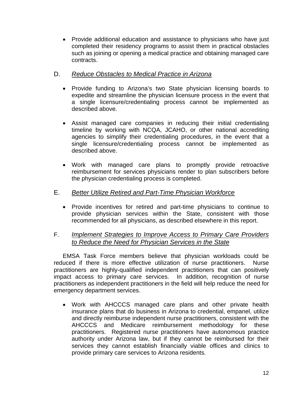• Provide additional education and assistance to physicians who have just completed their residency programs to assist them in practical obstacles such as joining or opening a medical practice and obtaining managed care contracts.

## D. *Reduce Obstacles to Medical Practice in Arizona*

- Provide funding to Arizona's two State physician licensing boards to expedite and streamline the physician licensure process in the event that a single licensure/credentialing process cannot be implemented as described above.
- Assist managed care companies in reducing their initial credentialing timeline by working with NCQA, JCAHO, or other national accrediting agencies to simplify their credentialing procedures, in the event that a single licensure/credentialing process cannot be implemented as described above.
- Work with managed care plans to promptly provide retroactive reimbursement for services physicians render to plan subscribers before the physician credentialing process is completed.

## E. *Better Utilize Retired and Part-Time Physician Workforce*

• Provide incentives for retired and part-time physicians to continue to provide physician services within the State, consistent with those recommended for all physicians, as described elsewhere in this report.

## F. *Implement Strategies to Improve Access to Primary Care Providers to Reduce the Need for Physician Services in the State*

EMSA Task Force members believe that physician workloads could be reduced if there is more effective utilization of nurse practitioners. Nurse practitioners are highly-qualified independent practitioners that can positively impact access to primary care services. In addition, recognition of nurse practitioners as independent practitioners in the field will help reduce the need for emergency department services.

• Work with AHCCCS managed care plans and other private health insurance plans that do business in Arizona to credential, empanel, utilize and directly reimburse independent nurse practitioners, consistent with the AHCCCS and Medicare reimbursement methodology for these practitioners. Registered nurse practitioners have autonomous practice authority under Arizona law, but if they cannot be reimbursed for their services they cannot establish financially viable offices and clinics to provide primary care services to Arizona residents.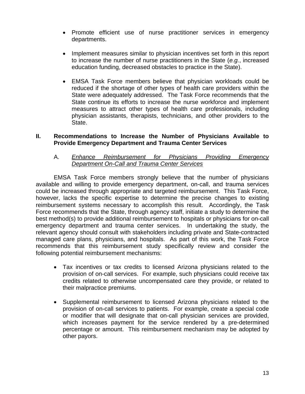- Promote efficient use of nurse practitioner services in emergency departments.
- Implement measures similar to physician incentives set forth in this report to increase the number of nurse practitioners in the State (*e.g.*, increased education funding, decreased obstacles to practice in the State).
- EMSA Task Force members believe that physician workloads could be reduced if the shortage of other types of health care providers within the State were adequately addressed. The Task Force recommends that the State continue its efforts to increase the nurse workforce and implement measures to attract other types of health care professionals, including physician assistants, therapists, technicians, and other providers to the State.

## **II. Recommendations to Increase the Number of Physicians Available to Provide Emergency Department and Trauma Center Services**

## A. *Enhance Reimbursement for Physicians Providing Emergency Department On-Call and Trauma Center Services*

 EMSA Task Force members strongly believe that the number of physicians available and willing to provide emergency department, on-call, and trauma services could be increased through appropriate and targeted reimbursement. This Task Force, however, lacks the specific expertise to determine the precise changes to existing reimbursement systems necessary to accomplish this result. Accordingly, the Task Force recommends that the State, through agency staff, initiate a study to determine the best method(s) to provide additional reimbursement to hospitals or physicians for on-call emergency department and trauma center services. In undertaking the study, the relevant agency should consult with stakeholders including private and State-contracted managed care plans, physicians, and hospitals. As part of this work, the Task Force recommends that this reimbursement study specifically review and consider the following potential reimbursement mechanisms:

- Tax incentives or tax credits to licensed Arizona physicians related to the provision of on-call services. For example, such physicians could receive tax credits related to otherwise uncompensated care they provide, or related to their malpractice premiums.
- Supplemental reimbursement to licensed Arizona physicians related to the provision of on-call services to patients. For example, create a special code or modifier that will designate that on-call physician services are provided, which increases payment for the service rendered by a pre-determined percentage or amount. This reimbursement mechanism may be adopted by other payors.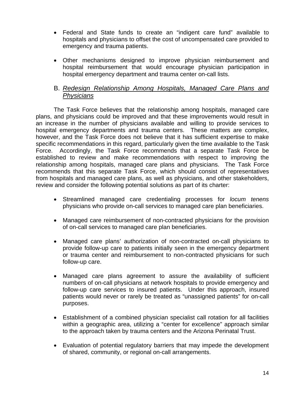- Federal and State funds to create an "indigent care fund" available to hospitals and physicians to offset the cost of uncompensated care provided to emergency and trauma patients.
- Other mechanisms designed to improve physician reimbursement and hospital reimbursement that would encourage physician participation in hospital emergency department and trauma center on-call lists.

## B. *Redesign Relationship Among Hospitals, Managed Care Plans and Physicians*

 The Task Force believes that the relationship among hospitals, managed care plans, and physicians could be improved and that these improvements would result in an increase in the number of physicians available and willing to provide services to hospital emergency departments and trauma centers. These matters are complex, however, and the Task Force does not believe that it has sufficient expertise to make specific recommendations in this regard, particularly given the time available to the Task Force. Accordingly, the Task Force recommends that a separate Task Force be established to review and make recommendations with respect to improving the relationship among hospitals, managed care plans and physicians. The Task Force recommends that this separate Task Force, which should consist of representatives from hospitals and managed care plans, as well as physicians, and other stakeholders, review and consider the following potential solutions as part of its charter:

- Streamlined managed care credentialing processes for *locum tenens* physicians who provide on-call services to managed care plan beneficiaries.
- Managed care reimbursement of non-contracted physicians for the provision of on-call services to managed care plan beneficiaries.
- Managed care plans' authorization of non-contracted on-call physicians to provide follow-up care to patients initially seen in the emergency department or trauma center and reimbursement to non-contracted physicians for such follow-up care.
- Managed care plans agreement to assure the availability of sufficient numbers of on-call physicians at network hospitals to provide emergency and follow-up care services to insured patients. Under this approach, insured patients would never or rarely be treated as "unassigned patients" for on-call purposes.
- Establishment of a combined physician specialist call rotation for all facilities within a geographic area, utilizing a "center for excellence" approach similar to the approach taken by trauma centers and the Arizona Perinatal Trust.
- Evaluation of potential regulatory barriers that may impede the development of shared, community, or regional on-call arrangements.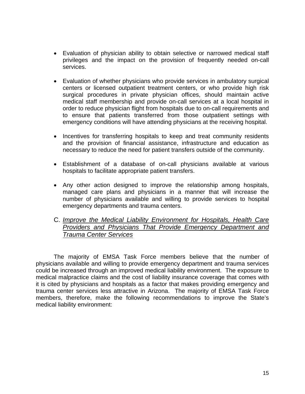- Evaluation of physician ability to obtain selective or narrowed medical staff privileges and the impact on the provision of frequently needed on-call services.
- Evaluation of whether physicians who provide services in ambulatory surgical centers or licensed outpatient treatment centers, or who provide high risk surgical procedures in private physician offices, should maintain active medical staff membership and provide on-call services at a local hospital in order to reduce physician flight from hospitals due to on-call requirements and to ensure that patients transferred from those outpatient settings with emergency conditions will have attending physicians at the receiving hospital.
- Incentives for transferring hospitals to keep and treat community residents and the provision of financial assistance, infrastructure and education as necessary to reduce the need for patient transfers outside of the community.
- Establishment of a database of on-call physicians available at various hospitals to facilitate appropriate patient transfers.
- Any other action designed to improve the relationship among hospitals, managed care plans and physicians in a manner that will increase the number of physicians available and willing to provide services to hospital emergency departments and trauma centers.
- C. *Improve the Medical Liability Environment for Hospitals, Health Care Providers and Physicians That Provide Emergency Department and Trauma Center Services*

 The majority of EMSA Task Force members believe that the number of physicians available and willing to provide emergency department and trauma services could be increased through an improved medical liability environment. The exposure to medical malpractice claims and the cost of liability insurance coverage that comes with it is cited by physicians and hospitals as a factor that makes providing emergency and trauma center services less attractive in Arizona. The majority of EMSA Task Force members, therefore, make the following recommendations to improve the State's medical liability environment: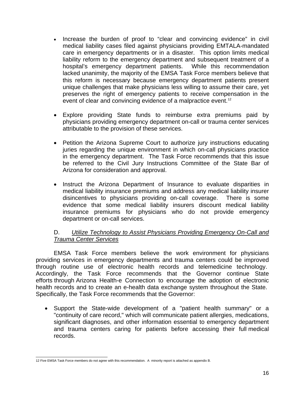- Increase the burden of proof to "clear and convincing evidence" in civil medical liability cases filed against physicians providing EMTALA-mandated care in emergency departments or in a disaster. This option limits medical liability reform to the emergency department and subsequent treatment of a hospital's emergency department patients. While this recommendation lacked unanimity, the majority of the EMSA Task Force members believe that this reform is necessary because emergency department patients present unique challenges that make physicians less willing to assume their care, yet preserves the right of emergency patients to receive compensation in the event of clear and convincing evidence of a malpractice event.<sup>12</sup>
- Explore providing State funds to reimburse extra premiums paid by physicians providing emergency department on-call or trauma center services attributable to the provision of these services.
- Petition the Arizona Supreme Court to authorize jury instructions educating juries regarding the unique environment in which on-call physicians practice in the emergency department. The Task Force recommends that this issue be referred to the Civil Jury Instructions Committee of the State Bar of Arizona for consideration and approval.
- Instruct the Arizona Department of Insurance to evaluate disparities in medical liability insurance premiums and address any medical liability insurer disincentives to physicians providing on-call coverage. There is some evidence that some medical liability insurers discount medical liability insurance premiums for physicians who do not provide emergency department or on-call services.

## D. *Utilize Technology to Assist Physicians Providing Emergency On-Call and Trauma Center Services*

EMSA Task Force members believe the work environment for physicians providing services in emergency departments and trauma centers could be improved through routine use of electronic health records and telemedicine technology. Accordingly, the Task Force recommends that the Governor continue State efforts through Arizona Health-e Connection to encourage the adoption of electronic health records and to create an e-health data exchange system throughout the State. Specifically, the Task Force recommends that the Governor:

• Support the State-wide development of a "patient health summary" or a "continuity of care record," which will communicate patient allergies, medications, significant diagnoses, and other information essential to emergency department and trauma centers caring for patients before accessing their full medical records.

<span id="page-16-0"></span> 12 Five EMSA Task Force members do not agree with this recommendation. A minority report is attached as appendix B.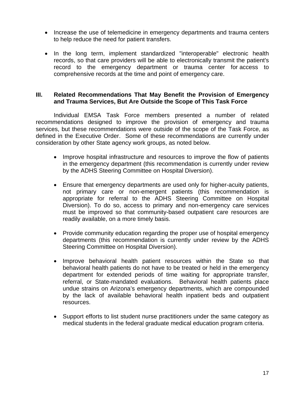- Increase the use of telemedicine in emergency departments and trauma centers to help reduce the need for patient transfers.
- In the long term, implement standardized "interoperable" electronic health records, so that care providers will be able to electronically transmit the patient's record to the emergency department or trauma center for access to comprehensive records at the time and point of emergency care.

### **III. Related Recommendations That May Benefit the Provision of Emergency and Trauma Services, But Are Outside the Scope of This Task Force**

 Individual EMSA Task Force members presented a number of related recommendations designed to improve the provision of emergency and trauma services, but these recommendations were outside of the scope of the Task Force, as defined in the Executive Order. Some of these recommendations are currently under consideration by other State agency work groups, as noted below.

- Improve hospital infrastructure and resources to improve the flow of patients in the emergency department (this recommendation is currently under review by the ADHS Steering Committee on Hospital Diversion).
- Ensure that emergency departments are used only for higher-acuity patients, not primary care or non-emergent patients (this recommendation is appropriate for referral to the ADHS Steering Committee on Hospital Diversion). To do so, access to primary and non-emergency care services must be improved so that community-based outpatient care resources are readily available, on a more timely basis.
- Provide community education regarding the proper use of hospital emergency departments (this recommendation is currently under review by the ADHS Steering Committee on Hospital Diversion).
- Improve behavioral health patient resources within the State so that behavioral health patients do not have to be treated or held in the emergency department for extended periods of time waiting for appropriate transfer, referral, or State-mandated evaluations. Behavioral health patients place undue strains on Arizona's emergency departments, which are compounded by the lack of available behavioral health inpatient beds and outpatient resources.
- Support efforts to list student nurse practitioners under the same category as medical students in the federal graduate medical education program criteria.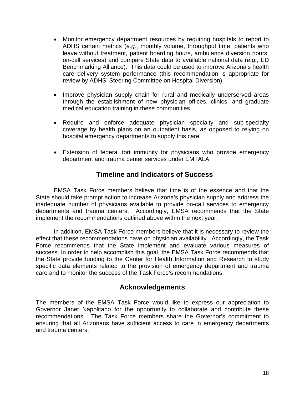- Monitor emergency department resources by requiring hospitals to report to ADHS certain metrics (*e.g.*, monthly volume, throughput time, patients who leave without treatment, patient boarding hours, ambulance diversion hours, on-call services) and compare State data to available national data (*e.g.*, ED Benchmarking Alliance). This data could be used to improve Arizona's health care delivery system performance (this recommendation is appropriate for review by ADHS' Steering Committee on Hospital Diversion).
- Improve physician supply chain for rural and medically underserved areas through the establishment of new physician offices, clinics, and graduate medical education training in these communities.
- Require and enforce adequate physician specialty and sub-specialty coverage by health plans on an outpatient basis, as opposed to relying on hospital emergency departments to supply this care.
- Extension of federal tort immunity for physicians who provide emergency department and trauma center services under EMTALA.

## **Timeline and Indicators of Success**

EMSA Task Force members believe that time is of the essence and that the State should take prompt action to increase Arizona's physician supply and address the inadequate number of physicians available to provide on-call services to emergency departments and trauma centers. Accordingly, EMSA recommends that the State implement the recommendations outlined above within the next year.

In addition, EMSA Task Force members believe that it is necessary to review the effect that these recommendations have on physician availability. Accordingly, the Task Force recommends that the State implement and evaluate various measures of success. In order to help accomplish this goal, the EMSA Task Force recommends that the State provide funding to the Center for Health Information and Research to study specific data elements related to the provision of emergency department and trauma care and to monitor the success of the Task Force's recommendations.

## **Acknowledgements**

The members of the EMSA Task Force would like to express our appreciation to Governor Janet Napolitano for the opportunity to collaborate and contribute these recommendations. The Task Force members share the Governor's commitment to ensuring that all Arizonans have sufficient access to care in emergency departments and trauma centers.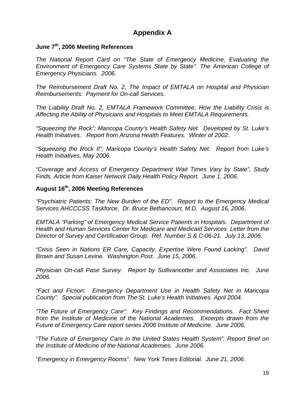## **Appendix A**

## **June 7th, 2006 Meeting References**

*The National Report Card on "The State of Emergency Medicine, Evaluating the Environment of Emergency Care Systems State by State". The American College of Emergency Physicians. 2006.* 

*The Reimbursement Draft No. 2, The Impact of EMTALA on Hospital and Physician Reimbursements: Payment for On-call Services.* 

*The Liability Draft No. 2, EMTALA Framework Committee, How the Liability Crisis is Affecting the Ability of Physicians and Hospitals to Meet EMTALA Requirements.* 

*"Squeezing the Rock"; Maricopa County's Health Safety Net. Developed by St. Luke's Health Initiatives. Report from Arizona Health Features. Winter of 2002.* 

*"Squeezing the Rock II"; Maricopa County's Health Safety Net. Report from Luke's Health Initiatives, May 2006.* 

*"Coverage and Access of Emergency Department Wait Times Vary by State", Study Finds. Article from Kaiser Network Daily Health Policy Report. June 1, 2006.* 

## **August 16th, 2006 Meeting References**

*"Psychiatric Patients: The New Burden of the ED". Report to the Emergency Medical Services AHCCCSS Taskforce. Dr. Bruce Bethancourt, M.D. August 16, 2006.* 

*EMTALA "Parking" of Emergency Medical Service Patients in Hospitals. Department of Health and Human Services Center for Medicare and Medicaid Services. Letter from the Director of Survey and Certification Group. Ref. Number S & C-06-21. July 13, 2006.* 

*"Crisis Seen in Nations ER Care, Capacity, Expertise Were Found Lacking". David Brown and Susan Levine. Washington Post. June 15, 2006.* 

*Physician On-call Pase Survey. Report by Sullivancotter and Associates Inc. June 2006.* 

*"Fact and Fiction: Emergency Department Use in Health Safety Net in Maricopa County". Special publication from The St. Luke's Health Initiatives. April 2004.* 

*"The Future of Emergency Care": Key Findings and Recommendations. Fact Sheet from the Institute of Medicine of the National Academies. Excerpts drawn from the Future of Emergency Care report series 2006 Institute of Medicine. June 2006,* 

*"The Future of Emergency Care in the United States Health System". Report Brief on the Institute of Medicine of the National Academies. June 2006.* 

*"Emergency in Emergency Rooms". New York Times Editorial. June 21, 2006.*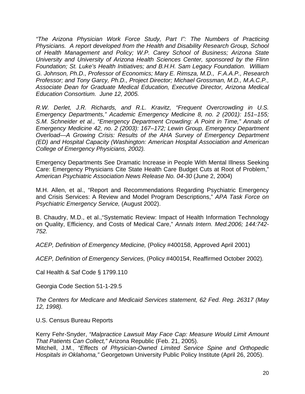*"The Arizona Physician Work Force Study, Part I": The Numbers of Practicing Physicians. A report developed from the Health and Disability Research Group, School of Health Management and Policy; W.P. Carey School of Business; Arizona State University and University of Arizona Health Sciences Center, sponsored by the Flinn Foundation; St. Luke's Health Initiatives; and B.H.H. Sam Legacy Foundation. William G. Johnson, Ph.D., Professor of Economics; Mary E. Rimsza, M.D., F.A.A.P., Research Professor; and Tony Garcy, Ph.D., Project Director; Michael Grossman, M.D., M.A.C.P., Associate Dean for Graduate Medical Education, Executive Director, Arizona Medical Education Consortium. June 12, 2005.* 

*R.W. Derlet, J.R. Richards, and R.L. Kravitz, "Frequent Overcrowding in U.S. Emergency Departments," Academic Emergency Medicine 8, no. 2 (2001): 151–155; S.M. Schneider et al., "Emergency Department Crowding: A Point in Time," Annals of Emergency Medicine 42, no. 2 (2003): 167–172; Lewin Group, Emergency Department Overload—A Growing Crisis: Results of the AHA Survey of Emergency Department (ED) and Hospital Capacity (Washington: American Hospital Association and American College of Emergency Physicians, 2002).* 

Emergency Departments See Dramatic Increase in People With Mental Illness Seeking Care: Emergency Physicians Cite State Health Care Budget Cuts at Root of Problem," *American Psychiatric Association News Release No. 04-30* (June 2, 2004)

M.H. Allen, et al., "Report and Recommendations Regarding Psychiatric Emergency and Crisis Services: A Review and Model Program Descriptions," *APA Task Force on Psychiatric Emergency Service,* (August 2002).

B. Chaudry, M.D., et al.,"Systematic Review: Impact of Health Information Technology on Quality, Efficiency, and Costs of Medical Care," *Annals Intern. Med.2006; 144:742- 752.* 

*ACEP, Definition of Emergency Medicine,* (Policy #400158, Approved April 2001)

*ACEP, Definition of Emergency Services,* (Policy #400154, Reaffirmed October 2002)*.*

Cal Health & Saf Code § 1799.110

Georgia Code Section 51-1-29.5

*The Centers for Medicare and Medicaid Services statement, 62 Fed. Reg. 26317 (May 12, 1998).* 

U.S. Census Bureau Reports

Kerry Fehr-Snyder, *"Malpractice Lawsuit May Face Cap: Measure Would Limit Amount That Patients Can Collect,"* Arizona Republic (Feb. 21, 2005). Mitchell, J.M., *"Effects of Physician-Owned Limited Service Spine and Orthopedic Hospitals in Oklahoma,"* Georgetown University Public Policy Institute (April 26, 2005).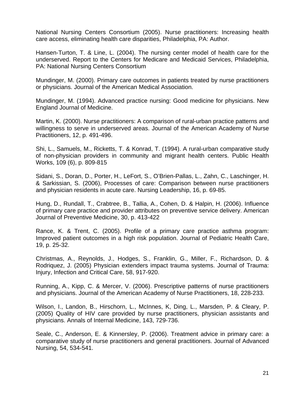National Nursing Centers Consortium (2005). Nurse practitioners: Increasing health care access, eliminating health care disparities, Philadelphia, PA: Author.

Hansen-Turton, T. & Line, L. (2004). The nursing center model of health care for the underserved. Report to the Centers for Medicare and Medicaid Services, Philadelphia, PA: National Nursing Centers Consortium

Mundinger, M. (2000). Primary care outcomes in patients treated by nurse practitioners or physicians. Journal of the American Medical Association.

Mundinger, M. (1994). Advanced practice nursing: Good medicine for physicians. New England Journal of Medicine.

Martin, K. (2000). Nurse practitioners: A comparison of rural-urban practice patterns and willingness to serve in underserved areas. Journal of the American Academy of Nurse Practitioners, 12, p. 491-496.

Shi, L., Samuels, M., Ricketts, T. & Konrad, T. (1994). A rural-urban comparative study of non-physician providers in community and migrant health centers. Public Health Works, 109 (6), p. 809-815

Sidani, S., Doran, D., Porter, H., LeFort, S., O'Brien-Pallas, L., Zahn, C., Laschinger, H. & Sarkissian, S. (2006), Processes of care: Comparison between nurse practitioners and physician residents in acute care. Nursing Leadership, 16, p. 69-85.

Hung, D., Rundall, T., Crabtree, B., Tallia, A., Cohen, D. & Halpin, H. (2006). Influence of primary care practice and provider attributes on preventive service delivery. American Journal of Preventive Medicine, 30, p. 413-422

Rance, K. & Trent, C. (2005). Profile of a primary care practice asthma program: Improved patient outcomes in a high risk population. Journal of Pediatric Health Care, 19, p. 25-32.

Christmas, A., Reynolds, J., Hodges, S., Franklin, G., Miller, F., Richardson, D. & Rodriquez, J. (2005) Physician extenders impact trauma systems. Journal of Trauma: Injury, Infection and Critical Care, 58, 917-920.

Running, A., Kipp, C. & Mercer, V. (2006). Prescriptive patterns of nurse practitioners and physicians. Journal of the American Academy of Nurse Practitioners, 18, 228-233.

Wilson, I., Landon, B., Hirschorn, L., McInnes, K, Ding, L., Marsden, P. & Cleary, P. (2005) Quality of HIV care provided by nurse practitioners, physician assistants and physicians. Annals of Internal Medicine, 143, 729-736.

Seale, C., Anderson, E. & Kinnersley, P. (2006). Treatment advice in primary care: a comparative study of nurse practitioners and general practitioners. Journal of Advanced Nursing, 54, 534-541.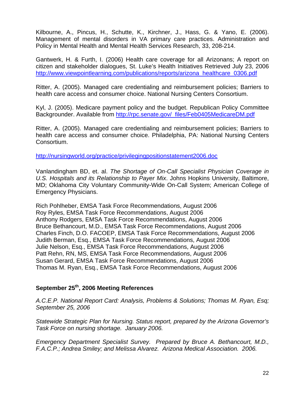Kilbourne, A., Pincus, H., Schutte, K., Kirchner, J., Hass, G. & Yano, E. (2006). Management of mental disorders in VA primary care practices. Administration and Policy in Mental Health and Mental Health Services Research, 33, 208-214.

Gantwerk, H. & Furth, I. (2006) Health care coverage for all Arizonans; A report on citizen and stakeholder dialogues, St. Luke's Health Initiatives Retrieved July 23, 2006 [http://www.viewpointlearning.com/publications/reports/arizona\\_healthcare\\_0306.pdf](http://www.viewpointlearning.com/publications/reports/arizona_healthcare_0306.pdf)

Ritter, A. (2005). Managed care credentialing and reimbursement policies; Barriers to health care access and consumer choice. National Nursing Centers Consortium.

Kyl, J. (2005). Medicare payment policy and the budget. Republican Policy Committee Backgrounder. Available from [http://rpc.senate.gov/\\_files/Feb0405MedicareDM.pdf](http://rpc.senate.gov/_files/Feb0405MedicareDM.pdf)

Ritter, A. (2005). Managed care credentialing and reimbursement policies; Barriers to health care access and consumer choice. Philadelphia, PA: National Nursing Centers Consortium.

<http://nursingworld.org/practice/privilegingpositionstatement2006.doc>

Vanlandingham BD, et. al. *The Shortage of On-Call Specialist Physician Coverage in U.S. Hospitals and its Relationship to Payer Mix*. Johns Hopkins University, Baltimore, MD; Oklahoma City Voluntary Community-Wide On-Call System; American College of Emergency Physicians.

Rich Pohlheber, EMSA Task Force Recommendations, August 2006 Roy Ryles, EMSA Task Force Recommendations, August 2006 Anthony Rodgers, EMSA Task Force Recommendations, August 2006 Bruce Bethancourt, M.D., EMSA Task Force Recommendations, August 2006 Charles Finch, D.O. FACOEP, EMSA Task Force Recommendations, August 2006 Judith Berman, Esq., EMSA Task Force Recommendations, August 2006 Julie Nelson, Esq., EMSA Task Force Recommendations, August 2006 Patt Rehn, RN, MS, EMSA Task Force Recommendations, August 2006 Susan Gerard, EMSA Task Force Recommendations, August 2006 Thomas M. Ryan, Esq., EMSA Task Force Recommendations, August 2006

## **September 25th, 2006 Meeting References**

*A.C.E.P. National Report Card: Analysis, Problems & Solutions; Thomas M. Ryan, Esq; September 25, 2006* 

*Statewide Strategic Plan for Nursing. Status report, prepared by the Arizona Governor's Task Force on nursing shortage. January 2006.* 

*Emergency Department Specialist Survey. Prepared by Bruce A. Bethancourt, M.D., F.A.C.P.; Andrea Smiley; and Melissa Alvarez. Arizona Medical Association. 2006.*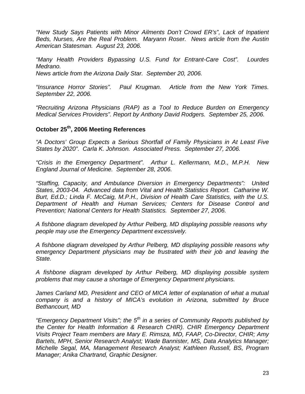*"New Study Says Patients with Minor Ailments Don't Crowd ER's", Lack of Inpatient Beds, Nurses, Are the Real Problem. Maryann Roser. News article from the Austin American Statesman. August 23, 2006.* 

*"Many Health Providers Bypassing U.S. Fund for Entrant-Care Cost". Lourdes Medrano. News article from the Arizona Daily Star. September 20, 2006.* 

*"Insurance Horror Stories". Paul Krugman. Article from the New York Times. September 22, 2006.* 

*"Recruiting Arizona Physicians (RAP) as a Tool to Reduce Burden on Emergency Medical Services Providers". Report by Anthony David Rodgers. September 25, 2006.* 

## **October 25th, 2006 Meeting References**

*"A Doctors' Group Expects a Serious Shortfall of Family Physicians in At Least Five States by 2020". Carla K. Johnson. Associated Press. September 27, 2006.* 

*"Crisis in the Emergency Department". Arthur L. Kellermann, M.D., M.P.H. New England Journal of Medicine. September 28, 2006.* 

*"Staffing, Capacity, and Ambulance Diversion in Emergency Departments": United States, 2003-04. Advanced data from Vital and Health Statistics Report. Catharine W. Burt, Ed.D.; Linda F. McCaig, M.P.H., Division of Health Care Statistics, with the U.S. Department of Health and Human Services; Centers for Disease Control and Prevention; National Centers for Health Statistics. September 27, 2006.* 

*A fishbone diagram developed by Arthur Pelberg, MD displaying possible reasons why people may use the Emergency Department excessively.* 

*A fishbone diagram developed by Arthur Pelberg, MD displaying possible reasons why emergency Department physicians may be frustrated with their job and leaving the State.* 

*A fishbone diagram developed by Arthur Pelberg, MD displaying possible system problems that may cause a shortage of Emergency Department physicians.* 

James Carland MD, President and CEO of MICA letter of explanation of what a mutual *company is and a history of MICA's evolution in Arizona, submitted by Bruce Bethancourt, MD* 

*"Emergency Department Visits"; the 5th in a series of Community Reports published by the Center for Health Information & Research CHIR). CHIR Emergency Department Visits Project Team members are Mary E. Rimsza, MD, FAAP, Co-Director, CHIR; Amy Bartels, MPH, Senior Research Analyst; Wade Bannister, MS, Data Analytics Manager; Michelle Segal, MA, Management Research Analyst; Kathleen Russell, BS, Program Manager; Anika Chartrand, Graphic Designer.*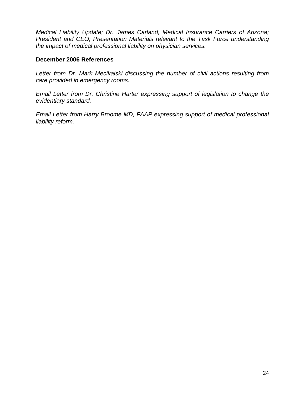*Medical Liability Update; Dr. James Carland; Medical Insurance Carriers of Arizona; President and CEO; Presentation Materials relevant to the Task Force understanding the impact of medical professional liability on physician services.* 

#### **December 2006 References**

*Letter from Dr. Mark Mecikalski discussing the number of civil actions resulting from care provided in emergency rooms.* 

*Email Letter from Dr. Christine Harter expressing support of legislation to change the evidentiary standard.* 

*Email Letter from Harry Broome MD, FAAP expressing support of medical professional liability reform.*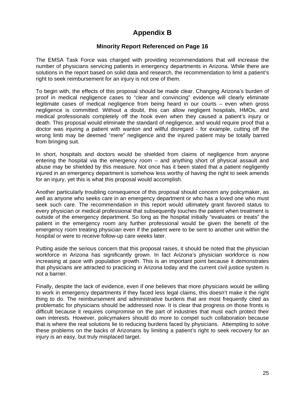## **Appendix B**

## **Minority Report Referenced on Page 16**

The EMSA Task Force was charged with providing recommendations that will increase the number of physicians servicing patients in emergency departments in Arizona. While there are solutions in the report based on solid data and research, the recommendation to limit a patient's right to seek reimbursement for an injury is not one of them.

To begin with, the effects of this proposal should be made clear. Changing Arizona's burden of proof in medical negligence cases to "clear and convincing" evidence will clearly eliminate legitimate cases of medical negligence from being heard in our courts – even when gross negligence is committed. Without a doubt, this can allow negligent hospitals, HMOs, and medical professionals completely off the hook even when they caused a patient's injury or death. This proposal would eliminate the standard of negligence, and would require proof that a doctor was injuring a patient with wanton and willful disregard - for example, cutting off the wrong limb may be deemed "mere" negligence and the injured patient may be totally barred from bringing suit.

In short, hospitals and doctors would be shielded from claims of negligence from anyone entering the hospital via the emergency room – and anything short of physical assault and abuse may be shielded by this measure. Not once has it been stated that a patient negligently injured in an emergency department is somehow less worthy of having the right to seek amends for an injury, yet this is what this proposal would accomplish.

Another particularly troubling consequence of this proposal should concern any policymaker, as well as anyone who seeks care in an emergency department or who has a loved one who must seek such care. The recommendation in this report would ultimately grant favored status to every physician or medical professional that subsequently touches the patient when treatment is outside of the emergency department. So long as the hospital initially "evaluates or treats" the patient in the emergency room any further professional would be given the benefit of the emergency room treating physician even if the patient were to be sent to another unit within the hospital or were to receive follow-up care weeks later.

Putting aside the serious concern that this proposal raises, it should be noted that the physician workforce in Arizona has significantly grown. In fact Arizona's physician workforce is now increasing at pace with population growth. This is an important point because it demonstrates that physicians are attracted to practicing in Arizona today and the current civil justice system is not a barrier.

Finally, despite the lack of evidence, even if one believes that more physicians would be willing to work in emergency departments if they faced less legal claims, this doesn't make it the right thing to do. The reimbursement and administrative burdens that are most frequently cited as problematic for physicians should be addressed now. It is clear that progress on those fronts is difficult because it requires compromise on the part of industries that must each protect their own interests. However, policymakers should do more to compel such collaboration because that is where the real solutions lie to reducing burdens faced by physicians. Attempting to solve these problems on the backs of Arizonans by limiting a patient's right to seek recovery for an injury is an easy, but truly misplaced target.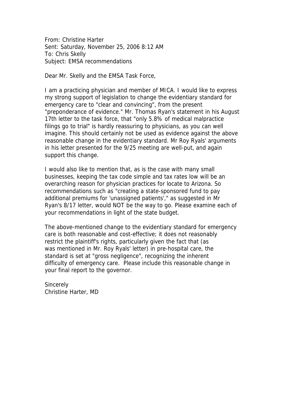From: Christine Harter Sent: Saturday, November 25, 2006 8:12 AM To: Chris Skelly Subject: EMSA recommendations

Dear Mr. Skelly and the EMSA Task Force,

I am a practicing physician and member of MICA. I would like to express my strong support of legislation to change the evidentiary standard for emergency care to "clear and convincing", from the present "preponderance of evidence." Mr. Thomas Ryan's statement in his August 17th letter to the task force, that "only 5.8% of medical malpractice filings go to trial" is hardly reassuring to physicians, as you can well imagine. This should certainly not be used as evidence against the above reasonable change in the evidentiary standard. Mr Roy Ryals' arguments in his letter presented for the 9/25 meeting are well-put, and again support this change.

I would also like to mention that, as is the case with many small businesses, keeping the tax code simple and tax rates low will be an overarching reason for physician practices for locate to Arizona. So recommendations such as "creating a state-sponsored fund to pay additional premiums for 'unassigned patients'," as suggested in Mr Ryan's 8/17 letter, would NOT be the way to go. Please examine each of your recommendations in light of the state budget.

The above-mentioned change to the evidentiary standard for emergency care is both reasonable and cost-effective; it does not reasonably restrict the plaintiff's rights, particularly given the fact that (as was mentioned in Mr. Roy Ryals' letter) in pre-hospital care, the standard is set at "gross negligence", recognizing the inherent difficulty of emergency care. Please include this reasonable change in your final report to the governor.

**Sincerely** Christine Harter, MD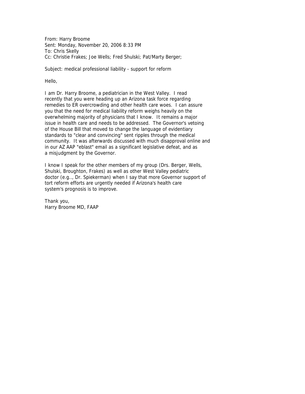From: Harry Broome Sent: Monday, November 20, 2006 8:33 PM To: Chris Skelly Cc: Christie Frakes; Joe Wells; Fred Shulski; Pat/Marty Berger;

Subject: medical professional liability - support for reform

Hello,

I am Dr. Harry Broome, a pediatrician in the West Valley. I read recently that you were heading up an Arizona task force regarding remedies to ER overcrowding and other health care woes. I can assure you that the need for medical liability reform weighs heavily on the overwhelming majority of physicians that I know. It remains a major issue in health care and needs to be addressed. The Governor's vetoing of the House Bill that moved to change the language of evidentiary standards to "clear and convincing" sent ripples through the medical community. It was afterwards discussed with much disapproval online and in our AZ AAP "eblast" email as a significant legislative defeat, and as a misjudgment by the Governor.

I know I speak for the other members of my group (Drs. Berger, Wells, Shulski, Broughton, Frakes) as well as other West Valley pediatric doctor (e.g.., Dr. Spiekerman) when I say that more Governor support of tort reform efforts are urgently needed if Arizona's health care system's prognosis is to improve.

Thank you, Harry Broome MD, FAAP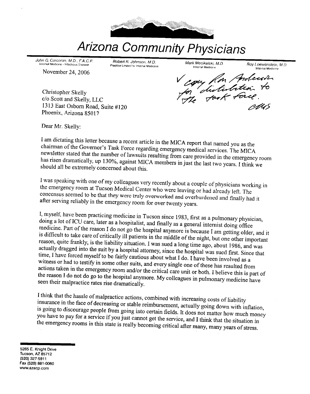

# **Arizona Community Physicians**

John G. Corcoran, M.D., F.A.C.P. Internal Medicine - Infectious Disease November 24, 2006

Robert R. Johnson, M.D. Practice Limited to Internal Medicine Mark Mecikalski, M.D. Internal Medicine

Roy Loewenstein, M.D. Internal Medicine

Christopher Skelly c/o Scott and Skelly, LLC 1313 East Osborn Road, Suite #120 Phoenix, Arizona 85017

Vegy Ron Anderson

Dear Mr. Skelly:

I am dictating this letter because a recent article in the MICA report that named you as the chairman of the Governor's Task Force regarding emergency medical services. The MICA newsletter stated that the number of lawsuits resulting from care provided in the emergency room has risen dramatically, up 130%, against MICA members in just the last two years. I think we should all be extremely concerned about this.

I was speaking with one of my colleagues very recently about a couple of physicians working in the emergency room at Tucson Medical Center who were leaving or had already left. The concensus seemed to be that they were truly overworked and overburdened and finally had it after serving reliably in the emergency room for over twenty years.

I, myself, have been practicing medicine in Tucson since 1983, first as a pulmonary physician, doing a lot of ICU care, later as a hospitalist, and finally as a general internist doing office medicine. Part of the reason I do not go the hospital anymore is because I am getting older, and it is difficult to take care of critically ill patients in the middle of the night, but one other important reason, quite frankly, is the liability situation. I was sued a long time ago, about 1986, and was actually dragged into the suit by a hospital attorney, since the hospital was sued first. Since that time, I have forced myself to be fairly cautious about what I do. I have been involved as a witness or had to testify in some other suits, and every single one of these has resulted from actions taken in the emergency room and/or the critical care unit or both. I believe this is part of the reason I do not do go to the hospital anymore. My colleagues in pulmonary medicine have seen their malpractice rates rise dramatically.

I think that the hassle of malpractice actions, combined with increasing costs of liability insurance in the face of decreasing or stable reimbursement, actually going down with inflation, is going to discourage people from going into certain fields. It does not matter how much money you have to pay for a service if you just cannot get the service, and I think that the situation in the emergency rooms in this state is really becoming critical after many, many years of stress.

5265 E. Knight Drive Tucson, AZ 85712 (520) 327-5911 Fax (520) 881-0060 www.azacp.com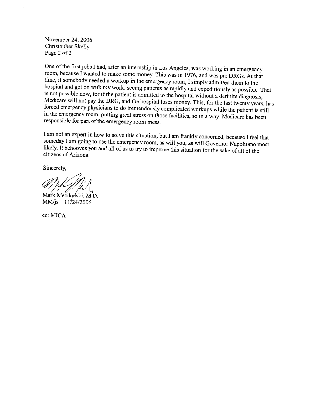November 24, 2006 Christopher Skelly Page 2 of 2

One of the first jobs I had, after an internship in Los Angeles, was working in an emergency room, because I wanted to make some money. This was in 1976, and was pre DRGs. At that time, if somebody needed a workup in the emergency room, I simply admitted them to the hospital and got on with my work, seeing patients as rapidly and expeditiously as possible. That is not possible now, for if the patient is admitted to the hospital without a definite diagnosis, Medicare will not pay the DRG, and the hospital loses money. This, for the last twenty years, has forced emergency physicians to do tremendously complicated workups while the patient is still in the emergency room, putting great stress on those facilities, so in a way, Medicare has been responsible for part of the emergency room mess.

I am not an expert in how to solve this situation, but I am frankly concerned, because I feel that someday I am going to use the emergency room, as will you, as will Governor Napolitano most likely. It behooves you and all of us to try to improve this situation for the sake of all of the citizens of Arizona.

Sincerely,

Mark Mecikalski, M.D. MM/js 11/24/2006

cc: MICA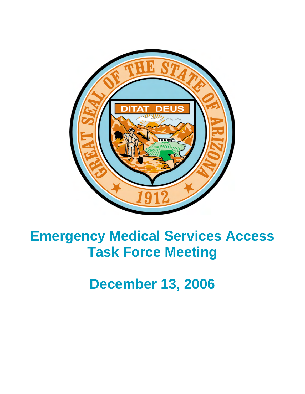

# **Emergency Medical Services Access Task Force Meeting**

**December 13, 2006**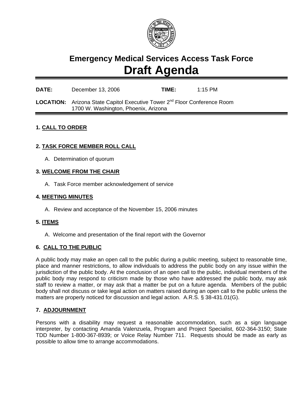

## **Emergency Medical Services Access Task Force Draft Agenda**

## **DATE:** December 13, 2006 **TIME:** 1:15 PM

**LOCATION:** Arizona State Capitol Executive Tower 2nd Floor Conference Room 1700 W. Washington, Phoenix, Arizona

#### **1. CALL TO ORDER**

#### **2. TASK FORCE MEMBER ROLL CALL**

A. Determination of quorum

#### **3. WELCOME FROM THE CHAIR**

A. Task Force member acknowledgement of service

#### **4. MEETING MINUTES**

A. Review and acceptance of the November 15, 2006 minutes

#### **5. ITEMS**

A. Welcome and presentation of the final report with the Governor

#### **6. CALL TO THE PUBLIC**

A public body may make an open call to the public during a public meeting, subject to reasonable time, place and manner restrictions, to allow individuals to address the public body on any issue within the jurisdiction of the public body. At the conclusion of an open call to the public, individual members of the public body may respond to criticism made by those who have addressed the public body, may ask staff to review a matter, or may ask that a matter be put on a future agenda. Members of the public body shall not discuss or take legal action on matters raised during an open call to the public unless the matters are properly noticed for discussion and legal action. A.R.S. § 38-431.01(G).

#### **7. ADJOURNMENT**

Persons with a disability may request a reasonable accommodation, such as a sign language interpreter, by contacting Amanda Valenzuela, Program and Project Specialist, 602-364-3150; State TDD Number 1-800-367-8939; or Voice Relay Number 711. Requests should be made as early as possible to allow time to arrange accommodations.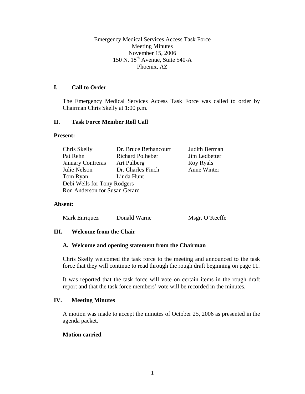Emergency Medical Services Access Task Force Meeting Minutes November 15, 2006 150 N. 18<sup>th</sup> Avenue, Suite 540-A Phoenix, AZ

#### **I. Call to Order**

The Emergency Medical Services Access Task Force was called to order by Chairman Chris Skelly at 1:00 p.m.

#### **II. Task Force Member Roll Call**

#### **Present:**

| Chris Skelly                  | Dr. Bruce Bethancourt   | Judith Berman    |  |
|-------------------------------|-------------------------|------------------|--|
| Pat Rehn                      | <b>Richard Polheber</b> | Jim Ledbetter    |  |
| <b>January Contreras</b>      | Art Pulberg             | <b>Roy Ryals</b> |  |
| Julie Nelson                  | Dr. Charles Finch       | Anne Winter      |  |
| Tom Ryan                      | Linda Hunt              |                  |  |
| Debi Wells for Tony Rodgers   |                         |                  |  |
| Ron Anderson for Susan Gerard |                         |                  |  |

#### **Absent:**

| Mark Enriquez | Donald Warne | Msgr. O'Keeffe |
|---------------|--------------|----------------|
|---------------|--------------|----------------|

#### **III. Welcome from the Chair**

#### **A. Welcome and opening statement from the Chairman**

Chris Skelly welcomed the task force to the meeting and announced to the task force that they will continue to read through the rough draft beginning on page 11.

It was reported that the task force will vote on certain items in the rough draft report and that the task force members' vote will be recorded in the minutes.

#### **IV. Meeting Minutes**

A motion was made to accept the minutes of October 25, 2006 as presented in the agenda packet.

#### **Motion carried**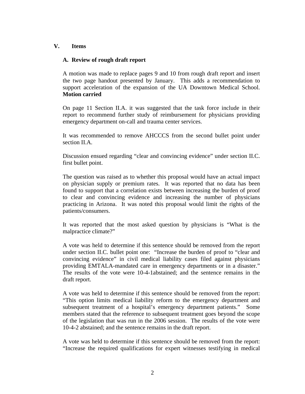#### **V. Items**

#### **A. Review of rough draft report**

A motion was made to replace pages 9 and 10 from rough draft report and insert the two page handout presented by January. This adds a recommendation to support acceleration of the expansion of the UA Downtown Medical School. **Motion carried** 

On page 11 Section II.A. it was suggested that the task force include in their report to recommend further study of reimbursement for physicians providing emergency department on-call and trauma center services.

It was recommended to remove AHCCCS from the second bullet point under section II.A.

Discussion ensued regarding "clear and convincing evidence" under section II.C. first bullet point.

The question was raised as to whether this proposal would have an actual impact on physician supply or premium rates. It was reported that no data has been found to support that a correlation exists between increasing the burden of proof to clear and convincing evidence and increasing the number of physicians practicing in Arizona. It was noted this proposal would limit the rights of the patients/consumers.

It was reported that the most asked question by physicians is "What is the malpractice climate?"

A vote was held to determine if this sentence should be removed from the report under section II.C. bullet point one: "Increase the burden of proof to "clear and convincing evidence" in civil medical liability cases filed against physicians providing EMTALA-mandated care in emergency departments or in a disaster." The results of the vote were 10-4-1abstained; and the sentence remains in the draft report.

A vote was held to determine if this sentence should be removed from the report: "This option limits medical liability reform to the emergency department and subsequent treatment of a hospital's emergency department patients." Some members stated that the reference to subsequent treatment goes beyond the scope of the legislation that was run in the 2006 session. The results of the vote were 10-4-2 abstained; and the sentence remains in the draft report.

A vote was held to determine if this sentence should be removed from the report: "Increase the required qualifications for expert witnesses testifying in medical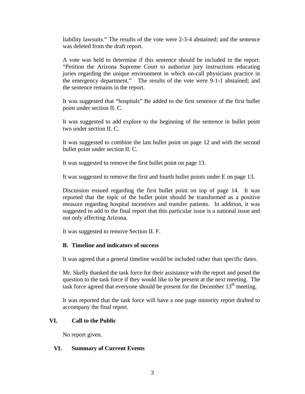liability lawsuits." The results of the vote were 2-3-4 abstained; and the sentence was deleted from the draft report.

A vote was held to determine if this sentence should be included in the report: "Petition the Arizona Supreme Court to authorize jury instructions educating juries regarding the unique environment in which on-call physicians practice in the emergency department." The results of the vote were 9-1-1 abstained; and the sentence remains in the report.

It was suggested that "hospitals" Be added to the first sentence of the first bullet point under section II. C.

It was suggested to add explore to the beginning of the sentence in bullet point two under section II. C.

It was suggested to combine the last bullet point on page 12 and with the second bullet point under section II. C.

It was suggested to remove the first bullet point on page 13.

It was suggested to remove the first and fourth bullet points under E on page 13.

Discussion ensued regarding the first bullet point on top of page 14. It was reported that the topic of the bullet point should be transformed as a positive measure regarding hospital incentives and transfer patients. In addition, it was suggested to add to the final report that this particular issue is a national issue and not only affecting Arizona.

It was suggested to remove Section II. F.

#### **B. Timeline and indicators of success**

It was agreed that a general timeline would be included rather than specific dates.

Mr. Skelly thanked the task force for their assistance with the report and posed the question to the task force if they would like to be present at the next meeting. The task force agreed that everyone should be present for the December  $13<sup>th</sup>$  meeting.

It was reported that the task force will have a one page minority report drafted to accompany the final report.

#### **VI. Call to the Public**

No report given.

#### **VI. Summary of Current Events**